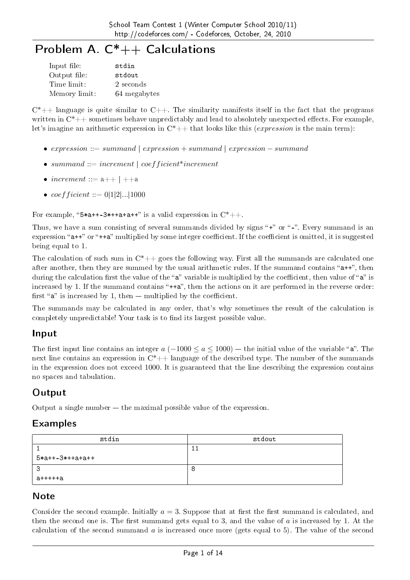# Problem A. C<sup>\*</sup>++ Calculations

| Input file:   | stdin        |
|---------------|--------------|
| Output file:  | stdout       |
| Time limit:   | 2 seconds    |
| Memory limit: | 64 megabytes |

 $C^*++$  language is quite similar to  $C++$ . The similarity manifests itself in the fact that the programs written in  $C^*++$  sometimes behave unpredictably and lead to absolutely unexpected effects. For example, let's imagine an arithmetic expression in C\*++ that looks like this (*expression* is the main term):

- *• expression* ::= *summand* | *expression* + *summand* | *expression − summand*
- $summand$  :=  $increment \, | \, coefficient*increment$
- $increment := a++ + +a$
- $\text{coeff}$  *icient* ::= 0|1|2|...|1000

For example, " $5*a++-3*++a+a++$ " is a valid expression in  $C^*++$ .

Thus, we have a sum consisting of several summands divided by signs " $+$ " or " $-$ ". Every summand is an expression "a++" or "++a" multiplied by some integer coefficient. If the coefficient is omitted, it is suggested being equal to 1.

The calculation of such sum in  $C^*$ ++ goes the following way. First all the summands are calculated one after another, then they are summed by the usual arithmetic rules. If the summand contains " $a++$ ", then during the calculation first the value of the "a" variable is multiplied by the coefficient, then value of "a" is increased by 1. If the summand contains " $++a$ ", then the actions on it are performed in the reverse order: first " $a$ " is increased by 1, then  $-$  multiplied by the coefficient.

The summands may be calculated in any order, that's why sometimes the result of the calculation is completely unpredictable! Your task is to find its largest possible value.

### Input

The first input line contains an integer  $a$  ( $-1000 \le a \le 1000$ )  $-$  the initial value of the variable " $a$ ". The next line contains an expression in  $C^*++$  language of the described type. The number of the summands in the expression does not exceed 1000. It is guaranteed that the line describing the expression contains no spaces and tabulation.

### **Output**

Output a single number  $-$  the maximal possible value of the expression.

#### Examples

| stdin             | stdout |
|-------------------|--------|
|                   |        |
| $5*a++-3*++a+a++$ |        |
| 3                 | O      |
| а+++++а           |        |

#### **Note**

Consider the second example. Initially  $a = 3$ . Suppose that at first the first summand is calculated, and then the second one is. The first summand gets equal to 3, and the value of  $\alpha$  is increased by 1. At the calculation of the second summand *a* is increased once more (gets equal to 5). The value of the second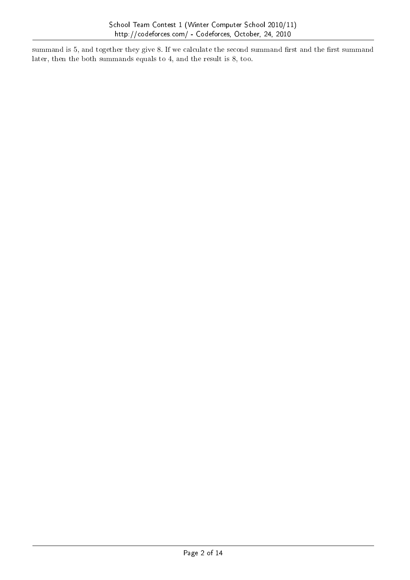summand is 5, and together they give 8. If we calculate the second summand first and the first summand later, then the both summands equals to 4, and the result is 8, too.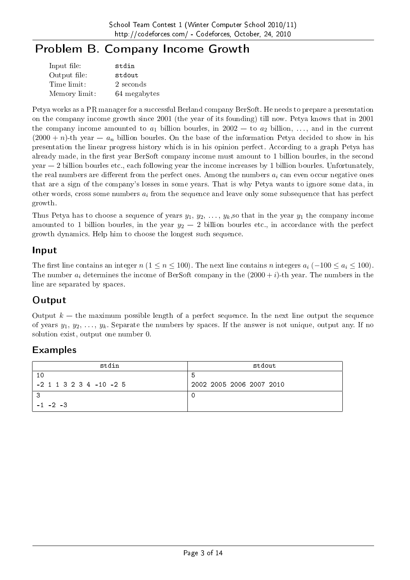# Problem B. Company Income Growth

| Input file:   | stdin        |
|---------------|--------------|
| Output file:  | stdout       |
| Time limit:   | 2 seconds    |
| Memory limit: | 64 megabytes |

Petya works as a PR manager for a successful Berland company BerSoft. He needs to prepare a presentation on the company income growth since 2001 (the year of its founding) till now. Petya knows that in 2001 the company income amounted to  $a_1$  billion bourles, in 2002  $-$  to  $a_2$  billion, ..., and in the current  $(2000 + n)$ -th year  $-a_n$  billion bourles. On the base of the information Petya decided to show in his presentation the linear progress history which is in his opinion perfect. According to a graph Petya has already made, in the first year BerSoft company income must amount to 1 billion bourles, in the second  $\gamma$  vear  $-2$  billion bourles etc., each following year the income increases by 1 billion bourles. Unfortunately, the real numbers are different from the perfect ones. Among the numbers  $a_i$  can even occur negative ones that are a sign of the company's losses in some years. That is why Petya wants to ignore some data, in other words, cross some numbers *a<sup>i</sup>* from the sequence and leave only some subsequence that has perfect growth.

Thus Petya has to choose a sequence of years  $y_1, y_2, \ldots, y_k$ , so that in the year  $y_1$  the company income amounted to 1 billion bourles, in the year  $y_2 - 2$  billion bourles etc., in accordance with the perfect growth dynamics. Help him to choose the longest such sequence.

#### Input

The first line contains an integer  $n$  ( $1 \le n \le 100$ ). The next line contains  $n$  integers  $a_i$  ( $-100 \le a_i \le 100$ ). The number  $a_i$  determines the income of BerSoft company in the  $(2000 + i)$ -th year. The numbers in the line are separated by spaces.

## **Output**

Output  $k -$  the maximum possible length of a perfect sequence. In the next line output the sequence of years  $y_1, y_2, \ldots, y_k$ . Separate the numbers by spaces. If the answer is not unique, output any. If no solution exist, output one number 0.

| stdin                     | stdout                   |
|---------------------------|--------------------------|
|                           | -5                       |
| $-2$ 1 1 3 2 3 4 -10 -2 5 | 2002 2005 2006 2007 2010 |
|                           |                          |
| $-1$ $-2$ $-3$            |                          |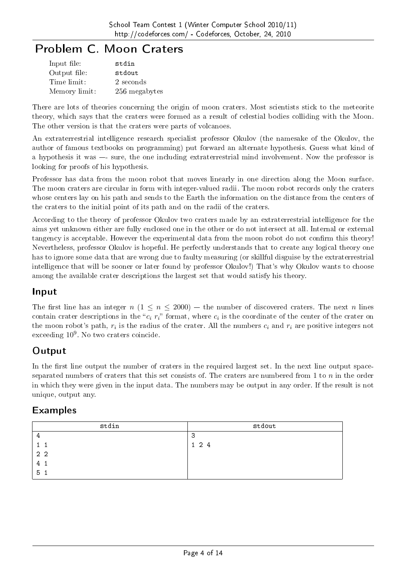# Problem C. Moon Craters

| Input file:   | stdin         |
|---------------|---------------|
| Output file:  | stdout        |
| Time limit:   | 2 seconds     |
| Memory limit: | 256 megabytes |

There are lots of theories concerning the origin of moon craters. Most scientists stick to the meteorite theory, which says that the craters were formed as a result of celestial bodies colliding with the Moon. The other version is that the craters were parts of volcanoes.

An extraterrestrial intelligence research specialist professor Okulov (the namesake of the Okulov, the author of famous textbooks on programming) put forward an alternate hypothesis. Guess what kind of a hypothesis it was -- sure, the one including extraterrestrial mind involvement. Now the professor is looking for proofs of his hypothesis.

Professor has data from the moon robot that moves linearly in one direction along the Moon surface. The moon craters are circular in form with integer-valued radii. The moon robot records only the craters whose centers lay on his path and sends to the Earth the information on the distance from the centers of the craters to the initial point of its path and on the radii of the craters.

According to the theory of professor Okulov two craters made by an extraterrestrial intelligence for the aims yet unknown either are fully enclosed one in the other or do not intersect at all. Internal or external tangency is acceptable. However the experimental data from the moon robot do not confirm this theory! Nevertheless, professor Okulov is hopeful. He perfectly understands that to create any logical theory one has to ignore some data that are wrong due to faulty measuring (or skillful disguise by the extraterrestrial intelligence that will be sooner or later found by professor Okulov!) That's why Okulov wants to choose among the available crater descriptions the largest set that would satisfy his theory.

#### Input

The first line has an integer  $n (1 \le n \le 2000)$  – the number of discovered craters. The next *n* lines contain crater descriptions in the " $c_i$   $r_i$ " format, where  $c_i$  is the coordinate of the center of the crater on the moon robot's path,  $r_i$  is the radius of the crater. All the numbers  $c_i$  and  $r_i$  are positive integers not exceeding  $10^9$ . No two craters coincide.

### **Output**

In the first line output the number of craters in the required largest set. In the next line output spaceseparated numbers of craters that this set consists of. The craters are numbered from 1 to *n* in the order in which they were given in the input data. The numbers may be output in any order. If the result is not unique, output any.

| stdin          | stdout      |
|----------------|-------------|
| 4              | 3           |
|                | $1 \t2 \t4$ |
| 2 <sub>2</sub> |             |
| 41             |             |
| 5 <sub>1</sub> |             |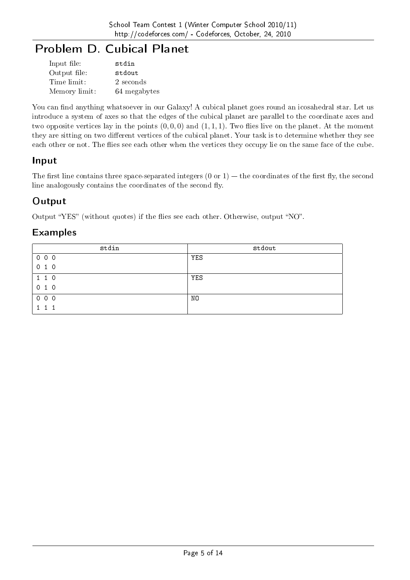# Problem D. Cubical Planet

| Input file:   | stdin        |
|---------------|--------------|
| Output file:  | stdout       |
| Time limit:   | 2 seconds    |
| Memory limit: | 64 megabytes |

You can find anything whatsoever in our Galaxy! A cubical planet goes round an icosahedral star. Let us introduce a system of axes so that the edges of the cubical planet are parallel to the coordinate axes and two opposite vertices lay in the points  $(0,0,0)$  and  $(1,1,1)$ . Two flies live on the planet. At the moment they are sitting on two different vertices of the cubical planet. Your task is to determine whether they see each other or not. The flies see each other when the vertices they occupy lie on the same face of the cube.

#### Input

The first line contains three space-separated integers  $(0 \text{ or } 1)$  – the coordinates of the first fly, the second line analogously contains the coordinates of the second fly.

### **Output**

Output "YES" (without quotes) if the flies see each other. Otherwise, output "NO".

| stdin | stdout |
|-------|--------|
| 000   | YES    |
| 010   |        |
| 110   | YES    |
| 010   |        |
| 000   | NO     |
| 1 1   |        |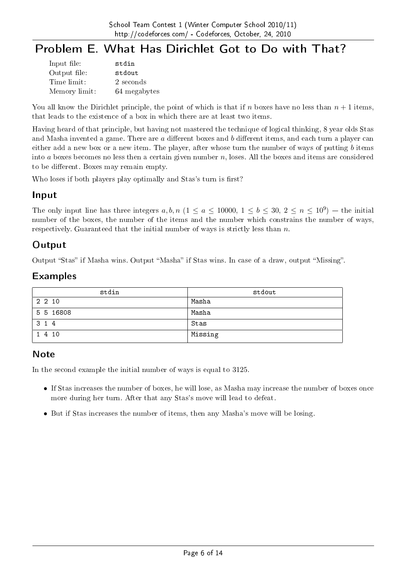# Problem E. What Has Dirichlet Got to Do with That?

| Input file:   | stdin        |
|---------------|--------------|
| Output file:  | stdout       |
| Time limit:   | 2 seconds    |
| Memory limit: | 64 megabytes |

You all know the Dirichlet principle, the point of which is that if *n* boxes have no less than  $n+1$  items. that leads to the existence of a box in which there are at least two items.

Having heard of that principle, but having not mastered the technique of logical thinking, 8 year olds Stas and Masha invented a game. There are *a* different boxes and *b* different items, and each turn a player can either add a new box or a new item. The player, after whose turn the number of ways of putting *b* items into *a* boxes becomes no less then a certain given number *n*, loses. All the boxes and items are considered to be different. Boxes may remain empty.

Who loses if both players play optimally and Stas's turn is first?

#### Input

The only input line has three integers  $a, b, n$  ( $1 \le a \le 10000, 1 \le b \le 30, 2 \le n \le 10^9$ ) – the initial number of the boxes, the number of the items and the number which constrains the number of ways, respectively. Guaranteed that the initial number of ways is strictly less than *n*.

#### **Output**

Output "Stas" if Masha wins. Output "Masha" if Stas wins. In case of a draw, output "Missing".

#### Examples

| stdin     | stdout  |
|-----------|---------|
| 2 2 10    | Masha   |
| 5 5 16808 | Masha   |
| 3 1 4     | Stas    |
| 1 4 10    | Missing |

#### **Note**

In the second example the initial number of ways is equal to 3125.

- If Stas increases the number of boxes, he will lose, as Masha may increase the number of boxes once more during her turn. After that any Stas's move will lead to defeat.
- But if Stas increases the number of items, then any Masha's move will be losing.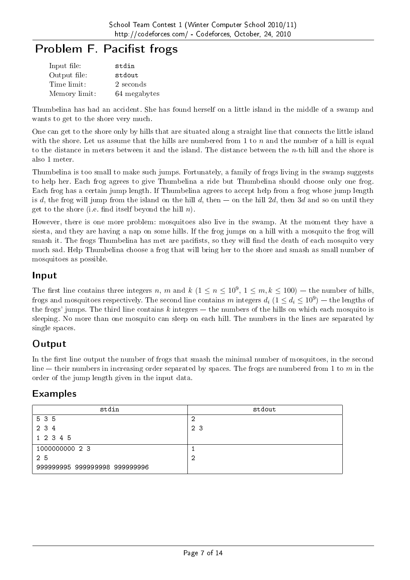# Problem F. Pacifist frogs

| Input file:   | stdin        |
|---------------|--------------|
| Output file:  | stdout       |
| Time limit:   | 2 seconds    |
| Memory limit: | 64 megabytes |

Thumbelina has had an accident. She has found herself on a little island in the middle of a swamp and wants to get to the shore very much.

One can get to the shore only by hills that are situated along a straight line that connects the little island with the shore. Let us assume that the hills are numbered from 1 to  $n$  and the number of a hill is equal to the distance in meters between it and the island. The distance between the *n*-th hill and the shore is also 1 meter.

Thumbelina is too small to make such jumps. Fortunately, a family of frogs living in the swamp suggests to help her. Each frog agrees to give Thumbelina a ride but Thumbelina should choose only one frog. Each frog has a certain jump length. If Thumbelina agrees to accept help from a frog whose jump length is *d*, the frog will jump from the island on the hill *d*, then  $-$  on the hill 2*d*, then 3*d* and so on until they get to the shore (i.e. find itself beyond the hill  $n$ ).

However, there is one more problem: mosquitoes also live in the swamp. At the moment they have a siesta, and they are having a nap on some hills. If the frog jumps on a hill with a mosquito the frog will smash it. The frogs Thumbelina has met are pacifists, so they will find the death of each mosquito very much sad. Help Thumbelina choose a frog that will bring her to the shore and smash as small number of mosquitoes as possible.

#### Input

The first line contains three integers *n*, *m* and *k* ( $1 \le n \le 10^9$ ,  $1 \le m, k \le 100$ ) – the number of hills, frogs and mosquitoes respectively. The second line contains  $m$  integers  $d_i$   $(1 \leq d_i \leq 10^9)$  — the lengths of the frogs' jumps. The third line contains  $k$  integers  $-$  the numbers of the hills on which each mosquito is sleeping. No more than one mosquito can sleep on each hill. The numbers in the lines are separated by single spaces.

# **Output**

In the first line output the number of frogs that smash the minimal number of mosquitoes, in the second line  $-$  their numbers in increasing order separated by spaces. The frogs are numbered from 1 to  $m$  in the order of the jump length given in the input data.

| stdin                         | stdout |
|-------------------------------|--------|
| 5 3 5                         | റ<br>৴ |
| 2 3 4                         | 23     |
| 1 2 3 4 5                     |        |
| 1000000000 2 3                |        |
| 25                            | റ<br>∠ |
| 999999995 999999998 999999996 |        |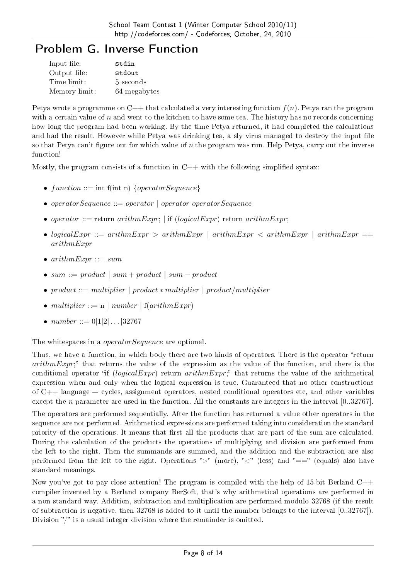# Problem G. Inverse Function

| Input file:   | stdin        |
|---------------|--------------|
| Output file:  | stdout       |
| Time limit:   | 5 seconds    |
| Memory limit: | 64 megabytes |

Petya wrote a programme on  $C_{++}$  that calculated a very interesting function  $f(n)$ . Petya ran the program with a certain value of *n* and went to the kitchen to have some tea. The history has no records concerning how long the program had been working. By the time Petya returned, it had completed the calculations and had the result. However while Petya was drinking tea, a sly virus managed to destroy the input file so that Petya can't figure out for which value of *n* the program was run. Help Petya, carry out the inverse function!

Mostly, the program consists of a function in  $C++$  with the following simplified syntax:

- $function ::= \text{int } f(\text{int } n) \{operatorSequence\}$
- *• operatorSequence* ::= *operator | operator operatorSequence*
- *operator* ::= return  $arithmetic = r$ ; *|* if  $(logicalExpr)$  return  $arithmetic = r$ ;
- $loqicalExpr ::= arithmeticExpr > arithmeticExpr | arithmeticexp r < arithmeticexpr | arithmeticexp r = 0$ *arithmExpr*
- $arithmetic = sum$
- *• sum* ::= *product | sum* + *product | sum − product*
- *• product* ::= *multiplier | product ∗ multiplier | product/multiplier*
- $multiplier ::= n \mid number \mid f(arithmExpr)$
- $number ::= 0|1|2|...|32767$

The whitespaces in a *operatorSequence* are optional.

Thus, we have a function, in which body there are two kinds of operators. There is the operator "return *arithmExpr*; that returns the value of the expression as the value of the function, and there is the conditional operator if (*logicalExpr*) return *arithmExpr*; that returns the value of the arithmetical expression when and only when the logical expression is true. Guaranteed that no other constructions of  $C_{++}$  language  $-$  cycles, assignment operators, nested conditional operators etc, and other variables except the *n* parameter are used in the function. All the constants are integers in the interval [0*..*32767].

The operators are performed sequentially. After the function has returned a value other operators in the sequence are not performed. Arithmetical expressions are performed taking into consideration the standard priority of the operations. It means that first all the products that are part of the sum are calculated. During the calculation of the products the operations of multiplying and division are performed from the left to the right. Then the summands are summed, and the addition and the subtraction are also performed from the left to the right. Operations ">" (more), "<" (less) and "==" (equals) also have standard meanings.

Now you've got to pay close attention! The program is compiled with the help of 15-bit Berland  $C++$ compiler invented by a Berland company BerSoft, that's why arithmetical operations are performed in a non-standard way. Addition, subtraction and multiplication are performed modulo 32768 (if the result of subtraction is negative, then 32768 is added to it until the number belongs to the interval [0*..*32767]). Division  $\sqrt[n]{n}$  is a usual integer division where the remainder is omitted.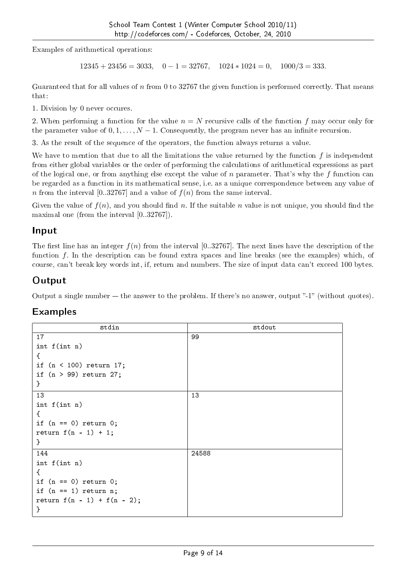Examples of arithmetical operations:

12345 + 23456 = 3033*,* 0 *−* 1 = 32767*,* 1024 *∗* 1024 = 0*,* 1000*/*3 = 333*.*

Guaranteed that for all values of *n* from 0 to 32767 the given function is performed correctly. That means that:

1. Division by 0 never occures.

2. When performing a function for the value *n* = *N* recursive calls of the function *f* may occur only for the parameter value of  $0, 1, \ldots, N-1$ . Consequently, the program never has an infinite recursion.

3. As the result of the sequence of the operators, the function always returns a value.

We have to mention that due to all the limitations the value returned by the function *f* is independent from either global variables or the order of performing the calculations of arithmetical expressions as part of the logical one, or from anything else except the value of *n* parameter. That's why the *f* function can be regarded as a function in its mathematical sense, i.e. as a unique correspondence between any value of *n* from the interval [0..32767] and a value of  $f(n)$  from the same interval.

Given the value of  $f(n)$ , and you should find n. If the suitable n value is not unique, you should find the maximal one (from the interval [0*..*32767]).

#### Input

The first line has an integer  $f(n)$  from the interval [0..32767]. The next lines have the description of the function *f*. In the description can be found extra spaces and line breaks (see the examples) which, of course, can't break key words int, if, return and numbers. The size of input data can't exceed 100 bytes.

### **Output**

Output a single number  $-$  the answer to the problem. If there's no answer, output "-1" (without quotes).

| stdin                          | stdout |
|--------------------------------|--------|
| 17                             | 99     |
| int f(int n)                   |        |
| €                              |        |
| if $(n < 100)$ return 17;      |        |
| if $(n > 99)$ return 27;       |        |
| }                              |        |
| 13                             | 13     |
| int f(int n)                   |        |
| €                              |        |
| if $(n == 0)$ return $0$ ;     |        |
| return $f(n - 1) + 1$ ;        |        |
| }                              |        |
| 144                            | 24588  |
| int f(int n)                   |        |
| €                              |        |
| if $(n == 0)$ return 0;        |        |
| if $(n == 1)$ return n;        |        |
| return $f(n - 1) + f(n - 2)$ ; |        |
| }                              |        |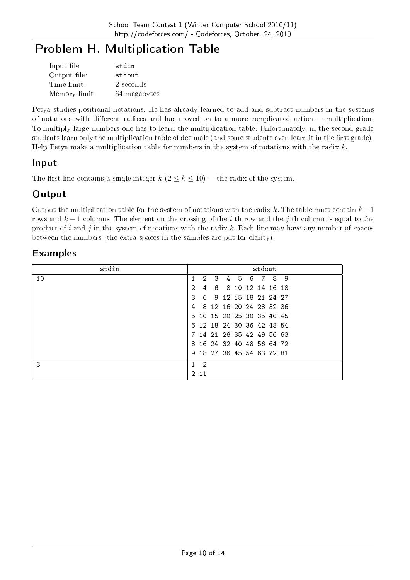# Problem H. Multiplication Table

| Input file:   | stdin        |
|---------------|--------------|
| Output file:  | stdout       |
| Time limit:   | 2 seconds    |
| Memory limit: | 64 megabytes |

Petya studies positional notations. He has already learned to add and subtract numbers in the systems of notations with different radices and has moved on to a more complicated action  $-$  multiplication. To multiply large numbers one has to learn the multiplication table. Unfortunately, in the second grade students learn only the multiplication table of decimals (and some students even learn it in the first grade). Help Petya make a multiplication table for numbers in the system of notations with the radix *k*.

### Input

The first line contains a single integer  $k$  ( $2 \leq k \leq 10$ ) – the radix of the system.

### **Output**

Output the multiplication table for the system of notations with the radix *k*. The table must contain *k−*1 rows and *k −* 1 columns. The element on the crossing of the *i*-th row and the *j*-th column is equal to the product of *i* and *j* in the system of notations with the radix *k*. Each line may have any number of spaces between the numbers (the extra spaces in the samples are put for clarity).

| stdin |               |                           |    |   |   |          | stdout |                         |   |  |
|-------|---------------|---------------------------|----|---|---|----------|--------|-------------------------|---|--|
| 10    |               | $\overline{2}$            | 3  | 4 | 5 | 6        | 7      | 8                       | 9 |  |
|       | 2             | 4                         | 6. | 8 |   | 10 12 14 |        | 16 18                   |   |  |
|       | 3             | 6.                        |    |   |   |          |        | 9 12 15 18 21 24 27     |   |  |
|       | 4             | 8                         |    |   |   |          |        | 12 16 20 24 28 32 36    |   |  |
|       |               | 5 10 15 20 25 30 35 40 45 |    |   |   |          |        |                         |   |  |
|       | 6.            |                           |    |   |   |          |        | 12 18 24 30 36 42 48 54 |   |  |
|       |               |                           |    |   |   |          |        | 14 21 28 35 42 49 56 63 |   |  |
|       | 8             |                           |    |   |   |          |        | 16 24 32 40 48 56 64 72 |   |  |
|       |               | 9 18 27 36 45 54 63 72 81 |    |   |   |          |        |                         |   |  |
| 3     |               | -2                        |    |   |   |          |        |                         |   |  |
|       | $\frac{2}{2}$ | 11                        |    |   |   |          |        |                         |   |  |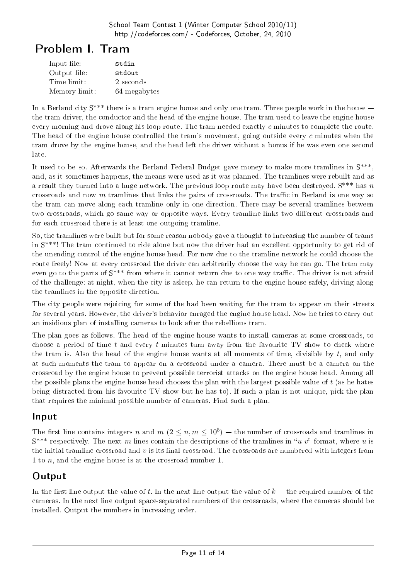# Problem I. Tram

| Input file:   | stdin        |
|---------------|--------------|
| Output file:  | stdout       |
| Time limit:   | 2 seconds    |
| Memory limit: | 64 megabytes |

In a Berland city  $S^{***}$  there is a tram engine house and only one tram. Three people work in the house  $$ the tram driver, the conductor and the head of the engine house. The tram used to leave the engine house every morning and drove along his loop route. The tram needed exactly *c* minutes to complete the route. The head of the engine house controlled the tram's movement, going outside every *c* minutes when the tram drove by the engine house, and the head left the driver without a bonus if he was even one second late.

It used to be so. Afterwards the Berland Federal Budget gave money to make more tramlines in S\*\*\*, and, as it sometimes happens, the means were used as it was planned. The tramlines were rebuilt and as a result they turned into a huge network. The previous loop route may have been destroyed. S\*\*\* has *n* crossroads and now *m* tramlines that links the pairs of crossroads. The traffic in Berland is one way so the tram can move along each tramline only in one direction. There may be several tramlines between two crossroads, which go same way or opposite ways. Every tramline links two different crossroads and for each crossroad there is at least one outgoing tramline.

So, the tramlines were built but for some reason nobody gave a thought to increasing the number of trams in S\*\*\*! The tram continued to ride alone but now the driver had an excellent opportunity to get rid of the unending control of the engine house head. For now due to the tramline network he could choose the route freely! Now at every crossroad the driver can arbitrarily choose the way he can go. The tram may even go to the parts of  $S^{***}$  from where it cannot return due to one way traffic. The driver is not afraid of the challenge: at night, when the city is asleep, he can return to the engine house safely, driving along the tramlines in the opposite direction.

The city people were rejoicing for some of the had been waiting for the tram to appear on their streets for several years. However, the driver's behavior enraged the engine house head. Now he tries to carry out an insidious plan of installing cameras to look after the rebellious tram.

The plan goes as follows. The head of the engine house wants to install cameras at some crossroads, to choose a period of time *t* and every *t* minutes turn away from the favourite TV show to check where the tram is. Also the head of the engine house wants at all moments of time, divisible by *t*, and only at such moments the tram to appear on a crossroad under a camera. There must be a camera on the crossroad by the engine house to prevent possible terrorist attacks on the engine house head. Among all the possible plans the engine house head chooses the plan with the largest possible value of *t* (as he hates being distracted from his favourite TV show but he has to). If such a plan is not unique, pick the plan that requires the minimal possible number of cameras. Find such a plan.

#### Input

The first line contains integers *n* and *m* ( $2 \le n, m \le 10^5$ ) – the number of crossroads and tramlines in  $S^{***}$  respectively. The next *m* lines contain the descriptions of the tramlines in "*u v*" format, where *u* is the initial tramline crossroad and *v* is its final crossroad. The crossroads are numbered with integers from 1 to *n*, and the engine house is at the crossroad number 1.

## **Output**

In the first line output the value of  $t$ . In the next line output the value of  $k$   $-$  the required number of the cameras. In the next line output space-separated numbers of the crossroads, where the cameras should be installed. Output the numbers in increasing order.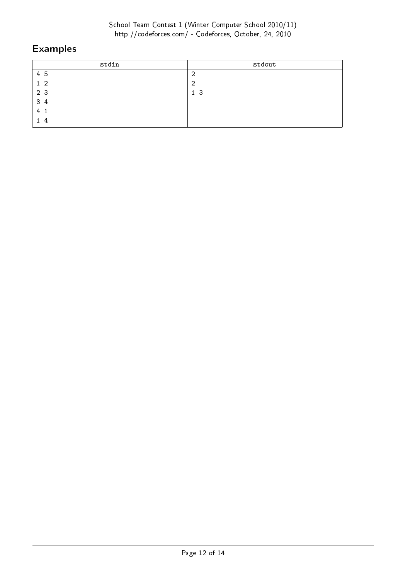| stdin          | stdout         |
|----------------|----------------|
| 4 5            | 2              |
| $1\quad2$      | -2             |
| 2 3            | 1 <sub>3</sub> |
| 3 4            |                |
| 4 <sub>1</sub> |                |
|                |                |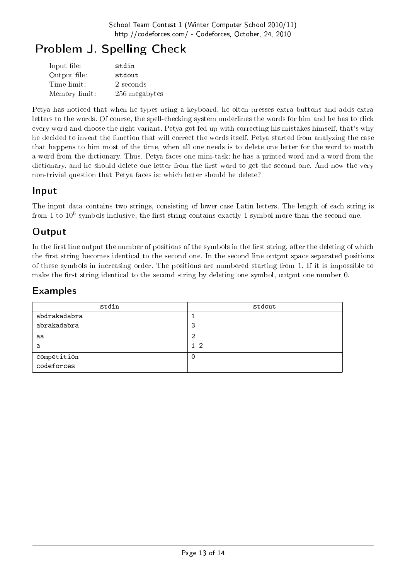# Problem J. Spelling Check

| Input file:   | stdin         |
|---------------|---------------|
| Output file:  | stdout        |
| Time limit:   | 2 seconds     |
| Memory limit: | 256 megabytes |

Petya has noticed that when he types using a keyboard, he often presses extra buttons and adds extra letters to the words. Of course, the spell-checking system underlines the words for him and he has to click every word and choose the right variant. Petya got fed up with correcting his mistakes himself, that's why he decided to invent the function that will correct the words itself. Petya started from analyzing the case that happens to him most of the time, when all one needs is to delete one letter for the word to match a word from the dictionary. Thus, Petya faces one mini-task: he has a printed word and a word from the dictionary, and he should delete one letter from the first word to get the second one. And now the very non-trivial question that Petya faces is: which letter should he delete?

#### Input

The input data contains two strings, consisting of lower-case Latin letters. The length of each string is from 1 to  $10^6$  symbols inclusive, the first string contains exactly 1 symbol more than the second one.

### **Output**

In the first line output the number of positions of the symbols in the first string, after the deleting of which the first string becomes identical to the second one. In the second line output space-separated positions of these symbols in increasing order. The positions are numbered starting from 1. If it is impossible to make the first string identical to the second string by deleting one symbol, output one number 0.

| stdin                     | stdout    |
|---------------------------|-----------|
| abdrakadabra              |           |
| abrakadabra               | 3         |
| aa                        | റ         |
| a                         | $1\quad2$ |
| competition<br>codeforces | -0        |
|                           |           |